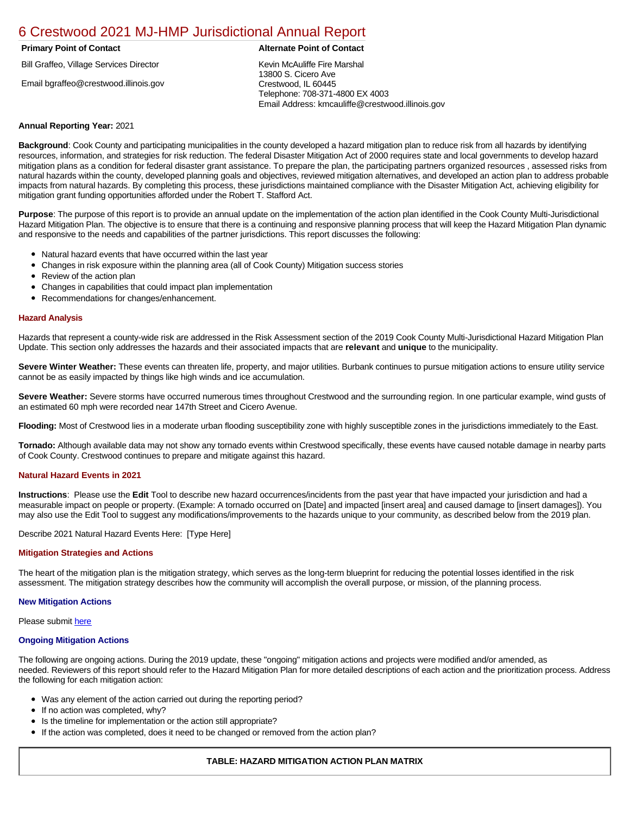# [6 Crestwood 2021 MJ-HMP Jurisdictional Annual Report](https://crestwood.isc-cemp.com/Cemp/Details?id=8322825)

## **Primary Point of Contact Alternate Point of Contact**

Bill Graffeo, Village Services Director

Email bgraffeo@crestwood.illinois.gov

Kevin McAuliffe Fire Marshal 13800 S. Cicero Ave Crestwood, IL 60445 Telephone: 708-371-4800 EX 4003 Email Address: kmcauliffe@crestwood.illinois.gov

### **Annual Reporting Year:** 2021

**Background**: Cook County and participating municipalities in the county developed a hazard mitigation plan to reduce risk from all hazards by identifying resources, information, and strategies for risk reduction. The federal Disaster Mitigation Act of 2000 requires state and local governments to develop hazard mitigation plans as a condition for federal disaster grant assistance. To prepare the plan, the participating partners organized resources , assessed risks from natural hazards within the county, developed planning goals and objectives, reviewed mitigation alternatives, and developed an action plan to address probable impacts from natural hazards. By completing this process, these jurisdictions maintained compliance with the Disaster Mitigation Act, achieving eligibility for mitigation grant funding opportunities afforded under the Robert T. Stafford Act.

**Purpose**: The purpose of this report is to provide an annual update on the implementation of the action plan identified in the Cook County Multi-Jurisdictional Hazard Mitigation Plan. The objective is to ensure that there is a continuing and responsive planning process that will keep the Hazard Mitigation Plan dynamic and responsive to the needs and capabilities of the partner jurisdictions. This report discusses the following:

- Natural hazard events that have occurred within the last year
- $\bullet$ Changes in risk exposure within the planning area (all of Cook County) Mitigation success stories
- Review of the action plan  $\bullet$
- $\bullet$ Changes in capabilities that could impact plan implementation
- Recommendations for changes/enhancement.  $\bullet$

#### **Hazard Analysis**

Hazards that represent a county-wide risk are addressed in the Risk Assessment section of the 2019 Cook County Multi-Jurisdictional Hazard Mitigation Plan Update. This section only addresses the hazards and their associated impacts that are **relevant** and **unique** to the municipality.

**Severe Winter Weather:** These events can threaten life, property, and major utilities. Burbank continues to pursue mitigation actions to ensure utility service cannot be as easily impacted by things like high winds and ice accumulation.

**Severe Weather:** Severe storms have occurred numerous times throughout Crestwood and the surrounding region. In one particular example, wind gusts of an estimated 60 mph were recorded near 147th Street and Cicero Avenue.

**Flooding:** Most of Crestwood lies in a moderate urban flooding susceptibility zone with highly susceptible zones in the jurisdictions immediately to the East.

**Tornado:** Although available data may not show any tornado events within Crestwood specifically, these events have caused notable damage in nearby parts of Cook County. Crestwood continues to prepare and mitigate against this hazard.

#### **Natural Hazard Events in 2021**

**Instructions**: Please use the **Edit** Tool to describe new hazard occurrences/incidents from the past year that have impacted your jurisdiction and had a measurable impact on people or property. (Example: A tornado occurred on [Date] and impacted [insert area] and caused damage to [insert damages]). You may also use the Edit Tool to suggest any modifications/improvements to the hazards unique to your community, as described below from the 2019 plan.

Describe 2021 Natural Hazard Events Here: [Type Here]

#### **Mitigation Strategies and Actions**

The heart of the mitigation plan is the mitigation strategy, which serves as the long-term blueprint for reducing the potential losses identified in the risk assessment. The mitigation strategy describes how the community will accomplish the overall purpose, or mission, of the planning process.

#### **New Mitigation Actions**

Please submit [here](https://integratedsolutions.wufoo.com/forms/mg21jvf0jn639o/)

#### **Ongoing Mitigation Actions**

The following are ongoing actions. During the 2019 update, these "ongoing" mitigation actions and projects were modified and/or amended, as needed. Reviewers of this report should refer to the Hazard Mitigation Plan for more detailed descriptions of each action and the prioritization process. Address the following for each mitigation action:

- Was any element of the action carried out during the reporting period?
- If no action was completed, why?  $\bullet$
- $\bullet$ Is the timeline for implementation or the action still appropriate?
- If the action was completed, does it need to be changed or removed from the action plan?

# **TABLE: HAZARD MITIGATION ACTION PLAN MATRIX**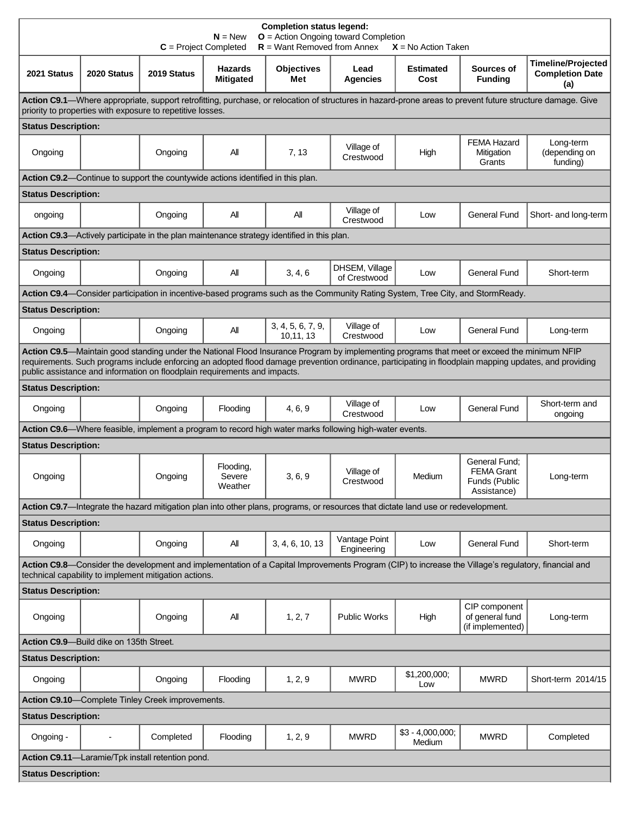| <b>Completion status legend:</b><br>$N = New$<br>$O =$ Action Ongoing toward Completion<br>$R =$ Want Removed from Annex<br>$C = Project Completed$<br>$X = No$ Action Taken                                                                                                                                                                                                       |             |                                                  |                                    |                                                                                                                                   |                                |                             |                                                                                                                                |                                                            |  |  |
|------------------------------------------------------------------------------------------------------------------------------------------------------------------------------------------------------------------------------------------------------------------------------------------------------------------------------------------------------------------------------------|-------------|--------------------------------------------------|------------------------------------|-----------------------------------------------------------------------------------------------------------------------------------|--------------------------------|-----------------------------|--------------------------------------------------------------------------------------------------------------------------------|------------------------------------------------------------|--|--|
| 2021 Status                                                                                                                                                                                                                                                                                                                                                                        | 2020 Status | 2019 Status                                      | <b>Hazards</b><br><b>Mitigated</b> | <b>Objectives</b><br>Met                                                                                                          | Lead<br><b>Agencies</b>        | <b>Estimated</b><br>Cost    | Sources of<br><b>Funding</b>                                                                                                   | <b>Timeline/Projected</b><br><b>Completion Date</b><br>(a) |  |  |
| Action C9.1—Where appropriate, support retrofitting, purchase, or relocation of structures in hazard-prone areas to prevent future structure damage. Give<br>priority to properties with exposure to repetitive losses.                                                                                                                                                            |             |                                                  |                                    |                                                                                                                                   |                                |                             |                                                                                                                                |                                                            |  |  |
| <b>Status Description:</b>                                                                                                                                                                                                                                                                                                                                                         |             |                                                  |                                    |                                                                                                                                   |                                |                             |                                                                                                                                |                                                            |  |  |
| Ongoing                                                                                                                                                                                                                                                                                                                                                                            |             | Ongoing                                          | All                                | 7, 13                                                                                                                             | Village of<br>Crestwood        | High                        | <b>FEMA Hazard</b><br>Mitigation<br>Grants                                                                                     | Long-term<br>(depending on<br>funding)                     |  |  |
| Action C9.2—Continue to support the countywide actions identified in this plan.                                                                                                                                                                                                                                                                                                    |             |                                                  |                                    |                                                                                                                                   |                                |                             |                                                                                                                                |                                                            |  |  |
| <b>Status Description:</b>                                                                                                                                                                                                                                                                                                                                                         |             |                                                  |                                    |                                                                                                                                   |                                |                             |                                                                                                                                |                                                            |  |  |
| ongoing                                                                                                                                                                                                                                                                                                                                                                            |             | Ongoing                                          | All                                | Αll                                                                                                                               | Village of<br>Crestwood        | Low                         | <b>General Fund</b>                                                                                                            | Short- and long-term                                       |  |  |
|                                                                                                                                                                                                                                                                                                                                                                                    |             |                                                  |                                    | Action C9.3—Actively participate in the plan maintenance strategy identified in this plan.                                        |                                |                             |                                                                                                                                |                                                            |  |  |
| <b>Status Description:</b>                                                                                                                                                                                                                                                                                                                                                         |             |                                                  |                                    |                                                                                                                                   |                                |                             |                                                                                                                                |                                                            |  |  |
| Ongoing                                                                                                                                                                                                                                                                                                                                                                            |             | Ongoing                                          | Αll                                | 3, 4, 6                                                                                                                           | DHSEM, Village<br>of Crestwood | Low                         | <b>General Fund</b>                                                                                                            | Short-term                                                 |  |  |
|                                                                                                                                                                                                                                                                                                                                                                                    |             |                                                  |                                    |                                                                                                                                   |                                |                             | Action C9.4—Consider participation in incentive-based programs such as the Community Rating System, Tree City, and StormReady. |                                                            |  |  |
| <b>Status Description:</b>                                                                                                                                                                                                                                                                                                                                                         |             |                                                  |                                    |                                                                                                                                   |                                |                             |                                                                                                                                |                                                            |  |  |
| Ongoing                                                                                                                                                                                                                                                                                                                                                                            |             | Ongoing                                          | All                                | 3, 4, 5, 6, 7, 9,<br>10,11,13                                                                                                     | Village of<br>Crestwood        | Low                         | <b>General Fund</b>                                                                                                            | Long-term                                                  |  |  |
| Action C9.5-Maintain good standing under the National Flood Insurance Program by implementing programs that meet or exceed the minimum NFIP<br>requirements. Such programs include enforcing an adopted flood damage prevention ordinance, participating in floodplain mapping updates, and providing<br>public assistance and information on floodplain requirements and impacts. |             |                                                  |                                    |                                                                                                                                   |                                |                             |                                                                                                                                |                                                            |  |  |
| <b>Status Description:</b>                                                                                                                                                                                                                                                                                                                                                         |             |                                                  |                                    |                                                                                                                                   |                                |                             |                                                                                                                                |                                                            |  |  |
| Ongoing                                                                                                                                                                                                                                                                                                                                                                            |             | Ongoing                                          | Flooding                           | 4, 6, 9                                                                                                                           | Village of<br>Crestwood        | Low                         | <b>General Fund</b>                                                                                                            | Short-term and<br>ongoing                                  |  |  |
|                                                                                                                                                                                                                                                                                                                                                                                    |             |                                                  |                                    | Action C9.6—Where feasible, implement a program to record high water marks following high-water events.                           |                                |                             |                                                                                                                                |                                                            |  |  |
| <b>Status Description:</b>                                                                                                                                                                                                                                                                                                                                                         |             |                                                  |                                    |                                                                                                                                   |                                |                             |                                                                                                                                |                                                            |  |  |
| Ongoing                                                                                                                                                                                                                                                                                                                                                                            |             | Ongoing                                          | Flooding,<br>Severe<br>Weather     | 3, 6, 9                                                                                                                           | Village of<br>Crestwood        | Medium                      | General Fund;<br><b>FEMA Grant</b><br>Funds (Public<br>Assistance)                                                             | Long-term                                                  |  |  |
|                                                                                                                                                                                                                                                                                                                                                                                    |             |                                                  |                                    | Action C9.7-Integrate the hazard mitigation plan into other plans, programs, or resources that dictate land use or redevelopment. |                                |                             |                                                                                                                                |                                                            |  |  |
| <b>Status Description:</b>                                                                                                                                                                                                                                                                                                                                                         |             |                                                  |                                    |                                                                                                                                   |                                |                             |                                                                                                                                |                                                            |  |  |
| Ongoing                                                                                                                                                                                                                                                                                                                                                                            |             | Ongoing                                          | All                                | 3, 4, 6, 10, 13                                                                                                                   | Vantage Point<br>Engineering   | Low                         | <b>General Fund</b>                                                                                                            | Short-term                                                 |  |  |
| Action C9.8—Consider the development and implementation of a Capital Improvements Program (CIP) to increase the Village's regulatory, financial and<br>technical capability to implement mitigation actions.                                                                                                                                                                       |             |                                                  |                                    |                                                                                                                                   |                                |                             |                                                                                                                                |                                                            |  |  |
| <b>Status Description:</b>                                                                                                                                                                                                                                                                                                                                                         |             |                                                  |                                    |                                                                                                                                   |                                |                             |                                                                                                                                |                                                            |  |  |
| Ongoing                                                                                                                                                                                                                                                                                                                                                                            |             | Ongoing                                          | All                                | 1, 2, 7                                                                                                                           | <b>Public Works</b>            | High                        | CIP component<br>of general fund<br>(if implemented)                                                                           | Long-term                                                  |  |  |
| Action C9.9-Build dike on 135th Street.                                                                                                                                                                                                                                                                                                                                            |             |                                                  |                                    |                                                                                                                                   |                                |                             |                                                                                                                                |                                                            |  |  |
| <b>Status Description:</b>                                                                                                                                                                                                                                                                                                                                                         |             |                                                  |                                    |                                                                                                                                   |                                |                             |                                                                                                                                |                                                            |  |  |
| Ongoing                                                                                                                                                                                                                                                                                                                                                                            |             | Ongoing                                          | Flooding                           | 1, 2, 9                                                                                                                           | <b>MWRD</b>                    | \$1,200,000;<br>Low         | <b>MWRD</b>                                                                                                                    | Short-term 2014/15                                         |  |  |
| Action C9.10-Complete Tinley Creek improvements.                                                                                                                                                                                                                                                                                                                                   |             |                                                  |                                    |                                                                                                                                   |                                |                             |                                                                                                                                |                                                            |  |  |
| <b>Status Description:</b>                                                                                                                                                                                                                                                                                                                                                         |             |                                                  |                                    |                                                                                                                                   |                                |                             |                                                                                                                                |                                                            |  |  |
| Ongoing -                                                                                                                                                                                                                                                                                                                                                                          |             | Completed                                        | Flooding                           | 1, 2, 9                                                                                                                           | <b>MWRD</b>                    | $$3 - 4,000,000;$<br>Medium | <b>MWRD</b>                                                                                                                    | Completed                                                  |  |  |
|                                                                                                                                                                                                                                                                                                                                                                                    |             | Action C9.11-Laramie/Tpk install retention pond. |                                    |                                                                                                                                   |                                |                             |                                                                                                                                |                                                            |  |  |
| <b>Status Description:</b>                                                                                                                                                                                                                                                                                                                                                         |             |                                                  |                                    |                                                                                                                                   |                                |                             |                                                                                                                                |                                                            |  |  |